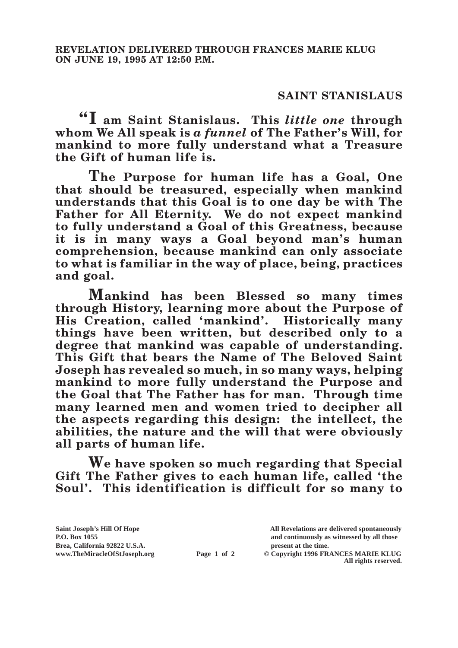## **SAINT STANISLAUS**

**"I am Saint Stanislaus. This** *little one* **through whom We All speak is** *a funnel* **of The Father's Will, for mankind to more fully understand what a Treasure the Gift of human life is.**

**The Purpose for human life has a Goal, One that should be treasured, especially when mankind understands that this Goal is to one day be with The Father for All Eternity. We do not expect mankind to fully understand a Goal of this Greatness, because it is in many ways a Goal beyond man's human comprehension, because mankind can only associate to what is familiar in the way of place, being, practices and goal.**

**Mankind has been Blessed so many times through History, learning more about the Purpose of His Creation, called 'mankind'. Historically many things have been written, but described only to a degree that mankind was capable of understanding. This Gift that bears the Name of The Beloved Saint Joseph has revealed so much, in so many ways, helping mankind to more fully understand the Purpose and the Goal that The Father has for man. Through time many learned men and women tried to decipher all the aspects regarding this design: the intellect, the abilities, the nature and the will that were obviously all parts of human life.**

**We have spoken so much regarding that Special Gift The Father gives to each human life, called 'the Soul'. This identification is difficult for so many to** 

**Saint Joseph's Hill Of Hope All Revelations are delivered spontaneously Brea, California 92822 U.S.A. present at the time.**<br> **present at the time.**<br> **present at the time.**<br> **present at the time.**<br> **present at the time.**<br> **present at the time.** 

**P.O. Box 1055 and continuously as witnessed by all those** 

**Page 1 of 2** © Copyright 1996 FRANCES MARIE KLUG **All rights reserved.**